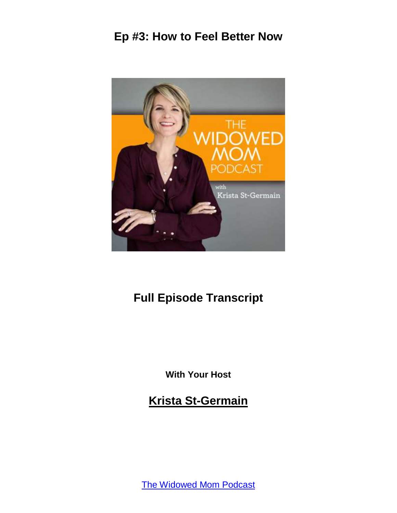

# **Full Episode Transcript**

**With Your Host**

**Krista St-Germain**

[The Widowed Mom Podcast](https://coachingwithkrista.com/podcast)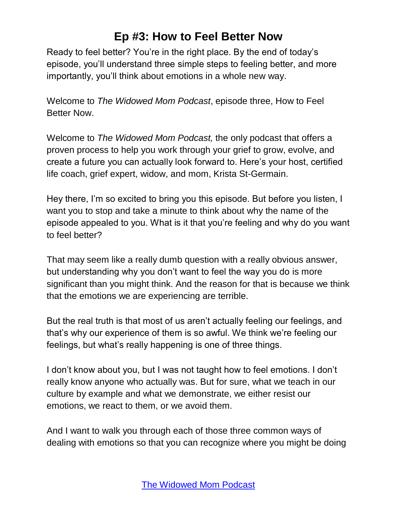Ready to feel better? You're in the right place. By the end of today's episode, you'll understand three simple steps to feeling better, and more importantly, you'll think about emotions in a whole new way.

Welcome to *The Widowed Mom Podcast*, episode three, How to Feel Better Now.

Welcome to *The Widowed Mom Podcast,* the only podcast that offers a proven process to help you work through your grief to grow, evolve, and create a future you can actually look forward to. Here's your host, certified life coach, grief expert, widow, and mom, Krista St-Germain.

Hey there, I'm so excited to bring you this episode. But before you listen, I want you to stop and take a minute to think about why the name of the episode appealed to you. What is it that you're feeling and why do you want to feel better?

That may seem like a really dumb question with a really obvious answer, but understanding why you don't want to feel the way you do is more significant than you might think. And the reason for that is because we think that the emotions we are experiencing are terrible.

But the real truth is that most of us aren't actually feeling our feelings, and that's why our experience of them is so awful. We think we're feeling our feelings, but what's really happening is one of three things.

I don't know about you, but I was not taught how to feel emotions. I don't really know anyone who actually was. But for sure, what we teach in our culture by example and what we demonstrate, we either resist our emotions, we react to them, or we avoid them.

And I want to walk you through each of those three common ways of dealing with emotions so that you can recognize where you might be doing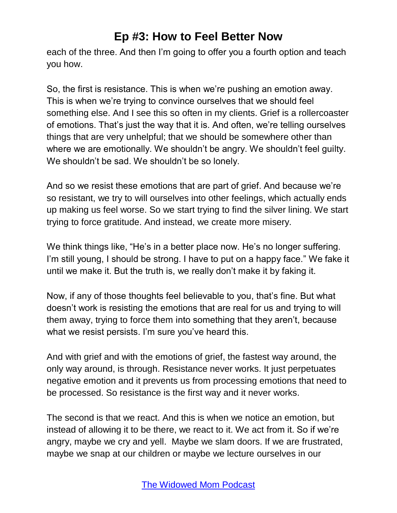each of the three. And then I'm going to offer you a fourth option and teach you how.

So, the first is resistance. This is when we're pushing an emotion away. This is when we're trying to convince ourselves that we should feel something else. And I see this so often in my clients. Grief is a rollercoaster of emotions. That's just the way that it is. And often, we're telling ourselves things that are very unhelpful; that we should be somewhere other than where we are emotionally. We shouldn't be angry. We shouldn't feel guilty. We shouldn't be sad. We shouldn't be so lonely.

And so we resist these emotions that are part of grief. And because we're so resistant, we try to will ourselves into other feelings, which actually ends up making us feel worse. So we start trying to find the silver lining. We start trying to force gratitude. And instead, we create more misery.

We think things like, "He's in a better place now. He's no longer suffering. I'm still young, I should be strong. I have to put on a happy face." We fake it until we make it. But the truth is, we really don't make it by faking it.

Now, if any of those thoughts feel believable to you, that's fine. But what doesn't work is resisting the emotions that are real for us and trying to will them away, trying to force them into something that they aren't, because what we resist persists. I'm sure you've heard this.

And with grief and with the emotions of grief, the fastest way around, the only way around, is through. Resistance never works. It just perpetuates negative emotion and it prevents us from processing emotions that need to be processed. So resistance is the first way and it never works.

The second is that we react. And this is when we notice an emotion, but instead of allowing it to be there, we react to it. We act from it. So if we're angry, maybe we cry and yell. Maybe we slam doors. If we are frustrated, maybe we snap at our children or maybe we lecture ourselves in our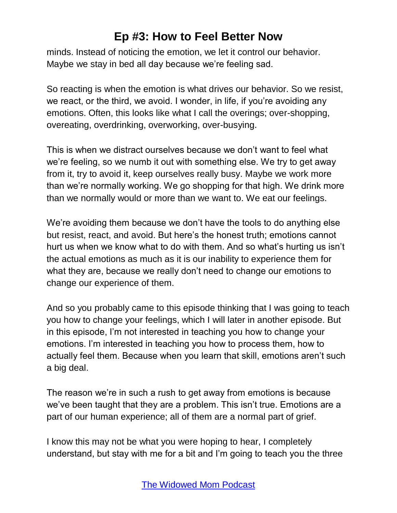minds. Instead of noticing the emotion, we let it control our behavior. Maybe we stay in bed all day because we're feeling sad.

So reacting is when the emotion is what drives our behavior. So we resist, we react, or the third, we avoid. I wonder, in life, if you're avoiding any emotions. Often, this looks like what I call the overings; over-shopping, overeating, overdrinking, overworking, over-busying.

This is when we distract ourselves because we don't want to feel what we're feeling, so we numb it out with something else. We try to get away from it, try to avoid it, keep ourselves really busy. Maybe we work more than we're normally working. We go shopping for that high. We drink more than we normally would or more than we want to. We eat our feelings.

We're avoiding them because we don't have the tools to do anything else but resist, react, and avoid. But here's the honest truth; emotions cannot hurt us when we know what to do with them. And so what's hurting us isn't the actual emotions as much as it is our inability to experience them for what they are, because we really don't need to change our emotions to change our experience of them.

And so you probably came to this episode thinking that I was going to teach you how to change your feelings, which I will later in another episode. But in this episode, I'm not interested in teaching you how to change your emotions. I'm interested in teaching you how to process them, how to actually feel them. Because when you learn that skill, emotions aren't such a big deal.

The reason we're in such a rush to get away from emotions is because we've been taught that they are a problem. This isn't true. Emotions are a part of our human experience; all of them are a normal part of grief.

I know this may not be what you were hoping to hear, I completely understand, but stay with me for a bit and I'm going to teach you the three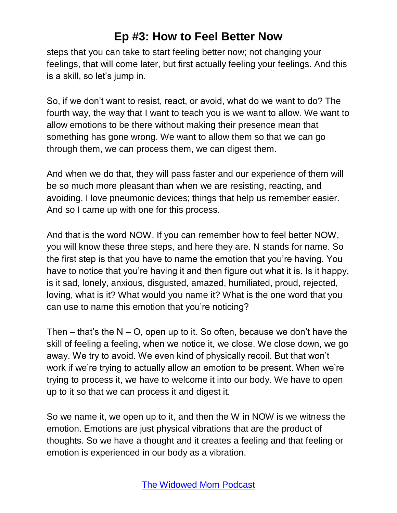steps that you can take to start feeling better now; not changing your feelings, that will come later, but first actually feeling your feelings. And this is a skill, so let's jump in.

So, if we don't want to resist, react, or avoid, what do we want to do? The fourth way, the way that I want to teach you is we want to allow. We want to allow emotions to be there without making their presence mean that something has gone wrong. We want to allow them so that we can go through them, we can process them, we can digest them.

And when we do that, they will pass faster and our experience of them will be so much more pleasant than when we are resisting, reacting, and avoiding. I love pneumonic devices; things that help us remember easier. And so I came up with one for this process.

And that is the word NOW. If you can remember how to feel better NOW, you will know these three steps, and here they are. N stands for name. So the first step is that you have to name the emotion that you're having. You have to notice that you're having it and then figure out what it is. Is it happy, is it sad, lonely, anxious, disgusted, amazed, humiliated, proud, rejected, loving, what is it? What would you name it? What is the one word that you can use to name this emotion that you're noticing?

Then – that's the  $N - O$ , open up to it. So often, because we don't have the skill of feeling a feeling, when we notice it, we close. We close down, we go away. We try to avoid. We even kind of physically recoil. But that won't work if we're trying to actually allow an emotion to be present. When we're trying to process it, we have to welcome it into our body. We have to open up to it so that we can process it and digest it.

So we name it, we open up to it, and then the W in NOW is we witness the emotion. Emotions are just physical vibrations that are the product of thoughts. So we have a thought and it creates a feeling and that feeling or emotion is experienced in our body as a vibration.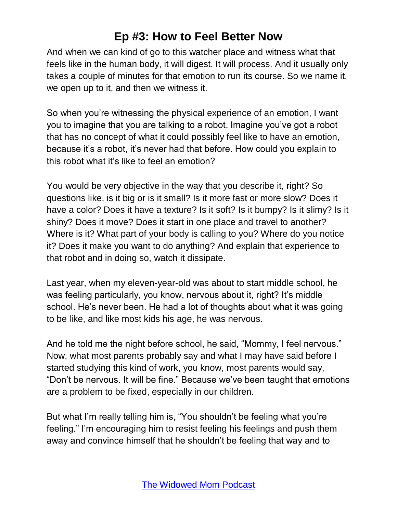And when we can kind of go to this watcher place and witness what that feels like in the human body, it will digest. It will process. And it usually only takes a couple of minutes for that emotion to run its course. So we name it, we open up to it, and then we witness it.

So when you're witnessing the physical experience of an emotion, I want you to imagine that you are talking to a robot. Imagine you've got a robot that has no concept of what it could possibly feel like to have an emotion, because it's a robot, it's never had that before. How could you explain to this robot what it's like to feel an emotion?

You would be very objective in the way that you describe it, right? So questions like, is it big or is it small? Is it more fast or more slow? Does it have a color? Does it have a texture? Is it soft? Is it bumpy? Is it slimy? Is it shiny? Does it move? Does it start in one place and travel to another? Where is it? What part of your body is calling to you? Where do you notice it? Does it make you want to do anything? And explain that experience to that robot and in doing so, watch it dissipate.

Last year, when my eleven-year-old was about to start middle school, he was feeling particularly, you know, nervous about it, right? It's middle school. He's never been. He had a lot of thoughts about what it was going to be like, and like most kids his age, he was nervous.

And he told me the night before school, he said, "Mommy, I feel nervous." Now, what most parents probably say and what I may have said before I started studying this kind of work, you know, most parents would say, "Don't be nervous. It will be fine." Because we've been taught that emotions are a problem to be fixed, especially in our children.

But what I'm really telling him is, "You shouldn't be feeling what you're feeling." I'm encouraging him to resist feeling his feelings and push them away and convince himself that he shouldn't be feeling that way and to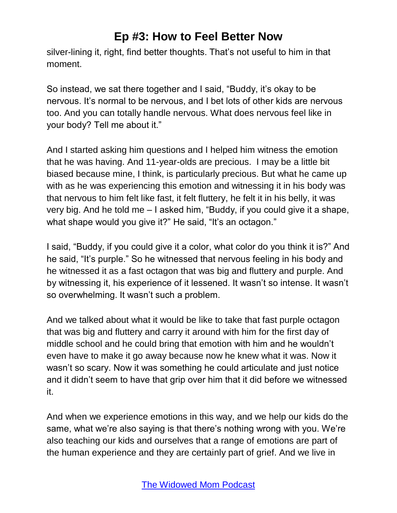silver-lining it, right, find better thoughts. That's not useful to him in that moment.

So instead, we sat there together and I said, "Buddy, it's okay to be nervous. It's normal to be nervous, and I bet lots of other kids are nervous too. And you can totally handle nervous. What does nervous feel like in your body? Tell me about it."

And I started asking him questions and I helped him witness the emotion that he was having. And 11-year-olds are precious. I may be a little bit biased because mine, I think, is particularly precious. But what he came up with as he was experiencing this emotion and witnessing it in his body was that nervous to him felt like fast, it felt fluttery, he felt it in his belly, it was very big. And he told me – I asked him, "Buddy, if you could give it a shape, what shape would you give it?" He said, "It's an octagon."

I said, "Buddy, if you could give it a color, what color do you think it is?" And he said, "It's purple." So he witnessed that nervous feeling in his body and he witnessed it as a fast octagon that was big and fluttery and purple. And by witnessing it, his experience of it lessened. It wasn't so intense. It wasn't so overwhelming. It wasn't such a problem.

And we talked about what it would be like to take that fast purple octagon that was big and fluttery and carry it around with him for the first day of middle school and he could bring that emotion with him and he wouldn't even have to make it go away because now he knew what it was. Now it wasn't so scary. Now it was something he could articulate and just notice and it didn't seem to have that grip over him that it did before we witnessed it.

And when we experience emotions in this way, and we help our kids do the same, what we're also saying is that there's nothing wrong with you. We're also teaching our kids and ourselves that a range of emotions are part of the human experience and they are certainly part of grief. And we live in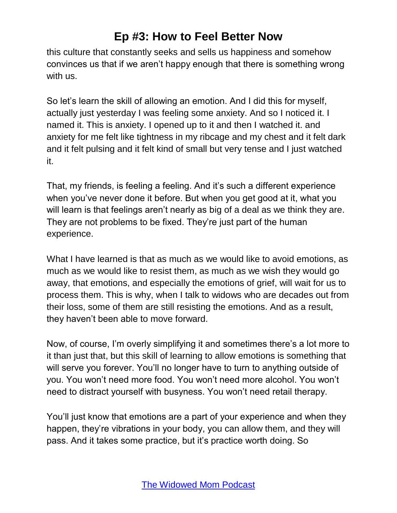this culture that constantly seeks and sells us happiness and somehow convinces us that if we aren't happy enough that there is something wrong with us.

So let's learn the skill of allowing an emotion. And I did this for myself, actually just yesterday I was feeling some anxiety. And so I noticed it. I named it. This is anxiety. I opened up to it and then I watched it. and anxiety for me felt like tightness in my ribcage and my chest and it felt dark and it felt pulsing and it felt kind of small but very tense and I just watched it.

That, my friends, is feeling a feeling. And it's such a different experience when you've never done it before. But when you get good at it, what you will learn is that feelings aren't nearly as big of a deal as we think they are. They are not problems to be fixed. They're just part of the human experience.

What I have learned is that as much as we would like to avoid emotions, as much as we would like to resist them, as much as we wish they would go away, that emotions, and especially the emotions of grief, will wait for us to process them. This is why, when I talk to widows who are decades out from their loss, some of them are still resisting the emotions. And as a result, they haven't been able to move forward.

Now, of course, I'm overly simplifying it and sometimes there's a lot more to it than just that, but this skill of learning to allow emotions is something that will serve you forever. You'll no longer have to turn to anything outside of you. You won't need more food. You won't need more alcohol. You won't need to distract yourself with busyness. You won't need retail therapy.

You'll just know that emotions are a part of your experience and when they happen, they're vibrations in your body, you can allow them, and they will pass. And it takes some practice, but it's practice worth doing. So